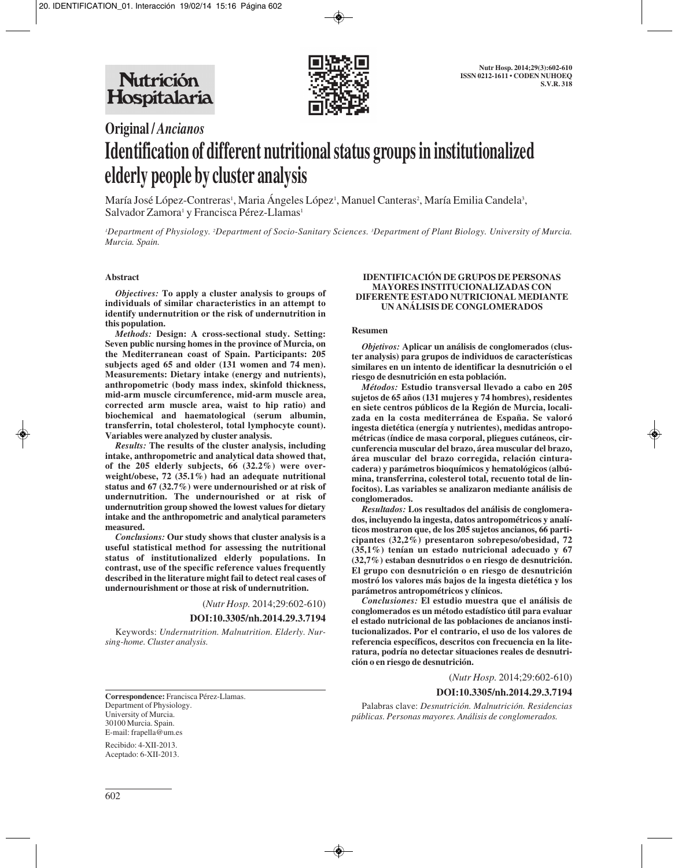

# **Original /** *Ancianos* **Identification of different nutritional status groups in institutionalized elderly people by cluster analysis**

María José López-Contreras', Maria Ángeles López', Manuel Canteras<sup>2</sup>, María Emilia Candela<sup>3</sup>, Salvador Zamora<sup>1</sup> y Francisca Pérez-Llamas<sup>1</sup>

*1 Department of Physiology. 2 Department of Socio-Sanitary Sciences. 3 Department of Plant Biology. University of Murcia. Murcia. Spain.*

#### **Abstract**

*Objectives:* **To apply a cluster analysis to groups of individuals of similar characteristics in an attempt to identify undernutrition or the risk of undernutrition in this population.**

*Methods:* **Design: A cross-sectional study. Setting: Seven public nursing homes in the province of Murcia, on the Mediterranean coast of Spain. Participants: 205 subjects aged 65 and older (131 women and 74 men). Measurements: Dietary intake (energy and nutrients), anthropometric (body mass index, skinfold thickness, mid-arm muscle circumference, mid-arm muscle area, corrected arm muscle area, waist to hip ratio) and biochemical and haematological (serum albumin, transferrin, total cholesterol, total lymphocyte count). Variables were analyzed by cluster analysis.**

*Results:* **The results of the cluster analysis, including intake, anthropometric and analytical data showed that, of the 205 elderly subjects, 66 (32.2%) were over weight/obese, 72 (35.1%) had an adequate nutritional status and 67 (32.7%) were undernourished or at risk of undernutrition. The undernourished or at risk of undernutrition group showed the lowest values for dietary intake and the anthropometric and analytical parameters measured.**

*Conclusions:* **Our study shows that cluster analysis is a useful statistical method for assessing the nutritional status of institutionalized elderly populations. In contrast, use of the specific reference values frequently described in the literature might fail to detect real cases of undernourishment or those at risk of undernutrition.**

(*Nutr Hosp.* 2014;29:602-610)

**DOI:10.3305/nh.2014.29.3.7194**

Keywords: *Undernutrition. Malnutrition. Elderly. Nursing-home. Cluster analysis.*

**Correspondence:** Francisca Pérez-Llamas. Department of Physiology. University of Murcia. 30100 Murcia. Spain. E-mail: frapella@um.es

Recibido: 4-XII-2013. Aceptado: 6-XII-2013.

#### **IDENTIFICACIÓN DE GRUPOS DE PERSONAS MAYORES INSTITUCIONALIZADAS CON DIFERENTE ESTADO NUTRICIONAL MEDIANTE UN ANÁLISIS DE CONGLOMERADOS**

#### **Resumen**

*Objetivos:* **Aplicar un análisis de conglomerados (cluster analysis) para grupos de individuos de características similares en un intento de identificar la desnutrición o el riesgo de desnutrición en esta población.**

*Métodos:* **Estudio transversal llevado a cabo en 205 sujetos de 65 años (131 mujeres y 74 hombres), residentes en siete centros públicos de la Región de Murcia, localizada en la costa mediterránea de España. Se valoró ingesta dietética (energía y nutrientes), medidas antropométricas (índice de masa corporal, pliegues cutáneos, circunferencia muscular del brazo, área muscular del brazo, área muscular del brazo corregida, relación cinturacadera) y parámetros bioquímicos y hematológicos (albúmina, transferrina, colesterol total, recuento total de linfocitos). Las variables se analizaron mediante análisis de conglomerados.**

*Resultados:* **Los resultados del análisis de conglomerados, incluyendo la ingesta, datos antropométricos y analíticos mostraron que, de los 205 sujetos ancianos, 66 participantes (32,2%) presentaron sobrepeso/obesidad, 72 (35,1%) tenían un estado nutricional adecuado y 67 (32,7%) estaban desnutridos o en riesgo de desnutrición. El grupo con desnutrición o en riesgo de desnutrición mostró los valores más bajos de la ingesta dietética y los parámetros antropométricos y clínicos.**

*Conclusiones:* **El estudio muestra que el análisis de conglomerados es un método estadístico útil para evaluar el estado nutricional de las poblaciones de ancianos institucionalizados. Por el contrario, el uso de los valores de referencia específicos, descritos con frecuencia en la literatura, podría no detectar situaciones reales de desnutrición o en riesgo de desnutrición.**

(*Nutr Hosp.* 2014;29:602-610)

#### **DOI:10.3305/nh.2014.29.3.7194**

Palabras clave: *Desnutrición. Malnutrición. Residencias públicas. Personas mayores. Análisis de conglomerados.*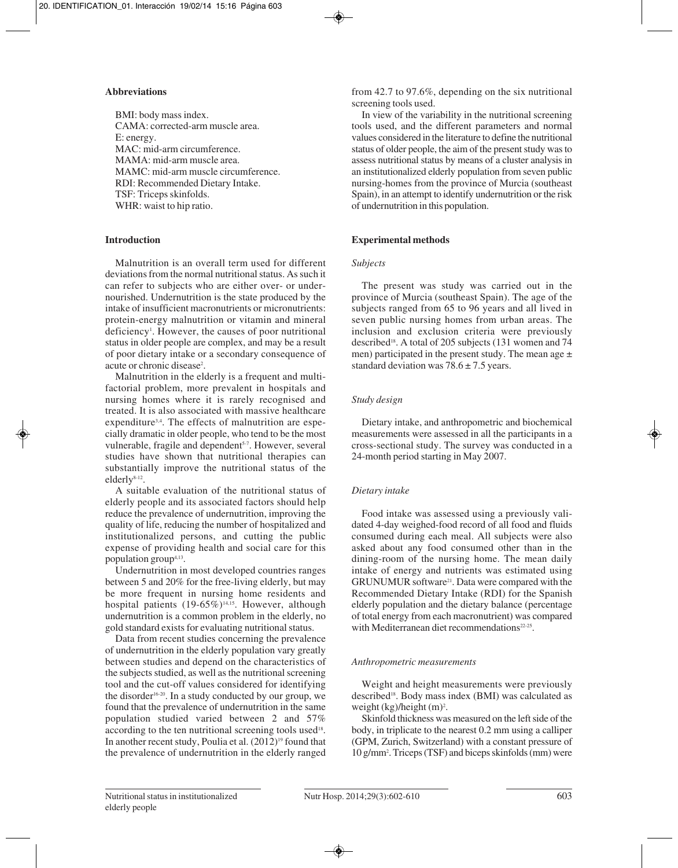## **Abbreviations**

BMI: body mass index. CAMA: corrected-arm muscle area. E: energy. MAC: mid-arm circumference. MAMA: mid-arm muscle area. MAMC: mid-arm muscle circumference. RDI: Recommended Dietary Intake. TSF: Triceps skinfolds. WHR: waist to hip ratio.

# **Introduction**

Malnutrition is an overall term used for different deviations from the normal nutritional status. As such it can refer to subjects who are either over- or undernourished. Undernutrition is the state produced by the intake of insufficient macronutrients or micronutrients: protein-energy malnutrition or vitamin and mineral deficiency<sup>1</sup>. However, the causes of poor nutritional status in older people are complex, and may be a result of poor dietary intake or a secondary consequence of acute or chronic disease<sup>2</sup>.

Malnutrition in the elderly is a frequent and multifactorial problem, more prevalent in hospitals and nursing homes where it is rarely recognised and treated. It is also associated with massive healthcare expenditure<sup>3,4</sup>. The effects of malnutrition are especially dramatic in older people, who tend to be the most vulnerable, fragile and dependent<sup>5-7</sup>. However, several studies have shown that nutritional therapies can substantially improve the nutritional status of the elderly8-12.

A suitable evaluation of the nutritional status of elderly people and its associated factors should help reduce the prevalence of undernutrition, improving the quality of life, reducing the number of hospitalized and institutionalized persons, and cutting the public expense of providing health and social care for this population group4,13.

Undernutrition in most developed countries ranges between 5 and 20% for the free-living elderly, but may be more frequent in nursing home residents and hospital patients  $(19-65\%)$ <sup>14,15</sup>. However, although undernutrition is a common problem in the elderly, no gold standard exists for evaluating nutritional status.

Data from recent studies concerning the prevalence of undernutrition in the elderly population vary greatly between studies and depend on the characteristics of the subjects studied, as well as the nutritional screening tool and the cut-off values considered for identifying the disorder<sup>16-20</sup>. In a study conducted by our group, we found that the prevalence of undernutrition in the same population studied varied between 2 and 57% according to the ten nutritional screening tools used<sup>18</sup>. In another recent study, Poulia et al. (2012)<sup>19</sup> found that the prevalence of undernutrition in the elderly ranged

from 42.7 to 97.6%, depending on the six nutritional screening tools used.

In view of the variability in the nutritional screening tools used, and the different parameters and normal values considered in the literature to define the nutritional status of older people, the aim of the present study was to assess nutritional status by means of a cluster analysis in an institutionalized elderly population from seven public nursing-homes from the province of Murcia (southeast Spain), in an attempt to identify undernutrition or the risk of undernutrition in this population.

# **Experimental methods**

# *Subjects*

The present was study was carried out in the province of Murcia (southeast Spain). The age of the subjects ranged from 65 to 96 years and all lived in seven public nursing homes from urban areas. The inclusion and exclusion criteria were previously described<sup>18</sup>. A total of 205 subjects (131 women and 74 men) participated in the present study. The mean age  $\pm$ standard deviation was  $78.6 \pm 7.5$  years.

# *Study design*

Dietary intake, and anthropometric and biochemical measurements were assessed in all the participants in a cross-sectional study. The survey was conducted in a 24-month period starting in May 2007.

# *Dietary intake*

Food intake was assessed using a previously validated 4-day weighed-food record of all food and fluids consumed during each meal. All subjects were also asked about any food consumed other than in the dining-room of the nursing home. The mean daily intake of energy and nutrients was estimated using GRUNUMUR software21. Data were compared with the Recommended Dietary Intake (RDI) for the Spanish elderly population and the dietary balance (percentage of total energy from each macronutrient) was compared with Mediterranean diet recommendations<sup>22-25</sup>.

# *Anthropometric measurements*

Weight and height measurements were previously described<sup>18</sup>. Body mass index (BMI) was calculated as weight (kg)/height (m)<sup>2</sup>.

Skinfold thickness was measured on the left side of the body, in triplicate to the nearest 0.2 mm using a calliper (GPM, Zurich, Switzerland) with a constant pressure of 10 g/mm2 . Triceps (TSF) and biceps skinfolds (mm) were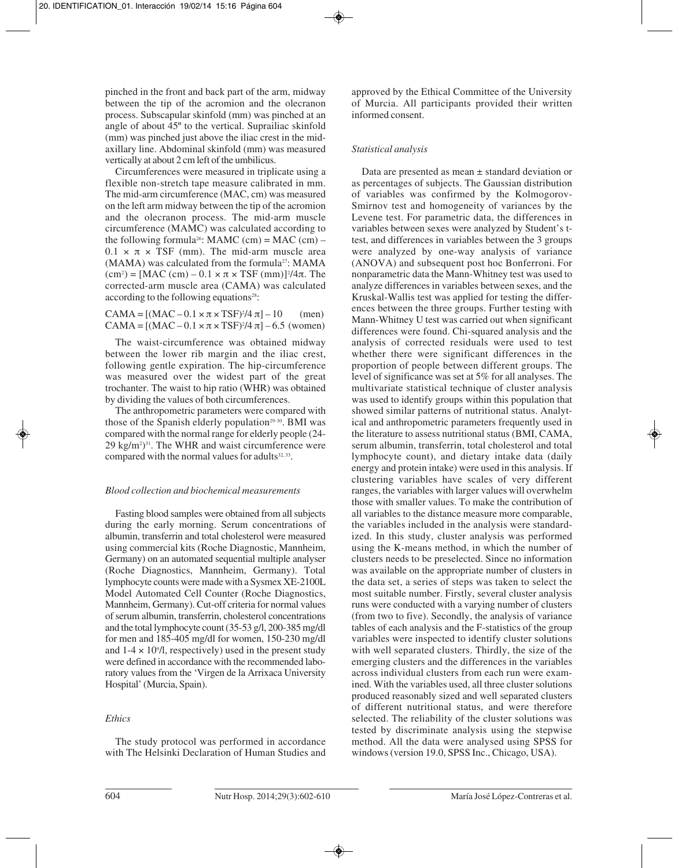pinched in the front and back part of the arm, midway between the tip of the acromion and the olecranon process. Subscapular skinfold (mm) was pinched at an angle of about 45º to the vertical. Suprailiac skinfold (mm) was pinched just above the iliac crest in the midaxillary line. Abdominal skinfold (mm) was measured vertically at about 2 cm left of the umbilicus.

Circumferences were measured in triplicate using a flexible non-stretch tape measure calibrated in mm. The mid-arm circumference (MAC, cm) was measured on the left arm midway between the tip of the acromion and the olecranon process. The mid-arm muscle circumference (MAMC) was calculated according to the following formula<sup>26</sup>: MAMC (cm) = MAC (cm) –  $0.1 \times \pi \times TSF$  (mm). The mid-arm muscle area  $(MAMA)$  was calculated from the formula<sup>27</sup>: MAMA  $(cm<sup>2</sup>) = [MAC (cm) – 0.1 × π × TSF (mm)]<sup>2</sup>/4π. The$ corrected-arm muscle area (CAMA) was calculated according to the following equations<sup>28</sup>:

 $CAMA = [(MAC - 0.1 \times \pi \times TSF)^{2}/4 \pi] - 10$  (men)  $CAMA = [(MAC - 0.1 \times π \times TSF)^{2}/4 π] - 6.5$  (women)

The waist-circumference was obtained midway between the lower rib margin and the iliac crest, following gentle expiration. The hip-circumference was measured over the widest part of the great trochanter. The waist to hip ratio (WHR) was obtained by dividing the values of both circumferences.

The anthropometric parameters were compared with those of the Spanish elderly population<sup>29-30</sup>. BMI was compared with the normal range for elderly people (24-  $29 \text{ kg/m}^2$ <sup>31</sup>. The WHR and waist circumference were compared with the normal values for adults<sup>32, 33</sup>.

#### *Blood collection and biochemical measurements*

Fasting blood samples were obtained from all subjects during the early morning. Serum concentrations of albumin, transferrin and total cholesterol were measured using commercial kits (Roche Diagnostic, Mannheim, Germany) on an automated sequential multiple analyser (Roche Diagnostics, Mannheim, Germany). Total lymphocyte counts were made with a Sysmex XE-2100L Model Automated Cell Counter (Roche Diagnostics, Mannheim, Germany). Cut-off criteria for normal values of serum albumin, transferrin, cholesterol concentrations and the total lymphocyte count (35-53 g/l, 200-385 mg/dl for men and 185-405 mg/dl for women, 150-230 mg/dl and  $1-4 \times 10^9$ /l, respectively) used in the present study were defined in accordance with the recommended laboratory values from the 'Virgen de la Arrixaca University Hospital' (Murcia, Spain).

#### *Ethics*

The study protocol was performed in accordance with The Helsinki Declaration of Human Studies and

approved by the Ethical Committee of the University of Murcia. All participants provided their written informed consent.

#### *Statistical analysis*

Data are presented as mean ± standard deviation or as percentages of subjects. The Gaussian distribution of variables was confirmed by the Kolmogorov-Smirnov test and homogeneity of variances by the Levene test. For parametric data, the differences in variables between sexes were analyzed by Student's ttest, and differences in variables between the 3 groups were analyzed by one-way analysis of variance (ANOVA) and subsequent post hoc Bonferroni. For nonparametric data the Mann-Whitney test was used to analyze differences in variables between sexes, and the Kruskal-Wallis test was applied for testing the differences between the three groups. Further testing with Mann-Whitney U test was carried out when significant differences were found. Chi-squared analysis and the analysis of corrected residuals were used to test whether there were significant differences in the proportion of people between different groups. The level of significance was set at 5% for all analyses. The multivariate statistical technique of cluster analysis was used to identify groups within this population that showed similar patterns of nutritional status. Analytical and anthropometric parameters frequently used in the literature to assess nutritional status (BMI, CAMA, serum albumin, transferrin, total cholesterol and total lymphocyte count), and dietary intake data (daily energy and protein intake) were used in this analysis. If clustering variables have scales of very different ranges, the variables with larger values will overwhelm those with smaller values. To make the contribution of all variables to the distance measure more comparable, the variables included in the analysis were standardized. In this study, cluster analysis was performed using the K-means method, in which the number of clusters needs to be preselected. Since no information was available on the appropriate number of clusters in the data set, a series of steps was taken to select the most suitable number. Firstly, several cluster analysis runs were conducted with a varying number of clusters (from two to five). Secondly, the analysis of variance tables of each analysis and the F-statistics of the group variables were inspected to identify cluster solutions with well separated clusters. Thirdly, the size of the emerging clusters and the differences in the variables across individual clusters from each run were examined. With the variables used, all three cluster solutions produced reasonably sized and well separated clusters of different nutritional status, and were therefore selected. The reliability of the cluster solutions was tested by discriminate analysis using the stepwise method. All the data were analysed using SPSS for windows (version 19.0, SPSS Inc., Chicago, USA).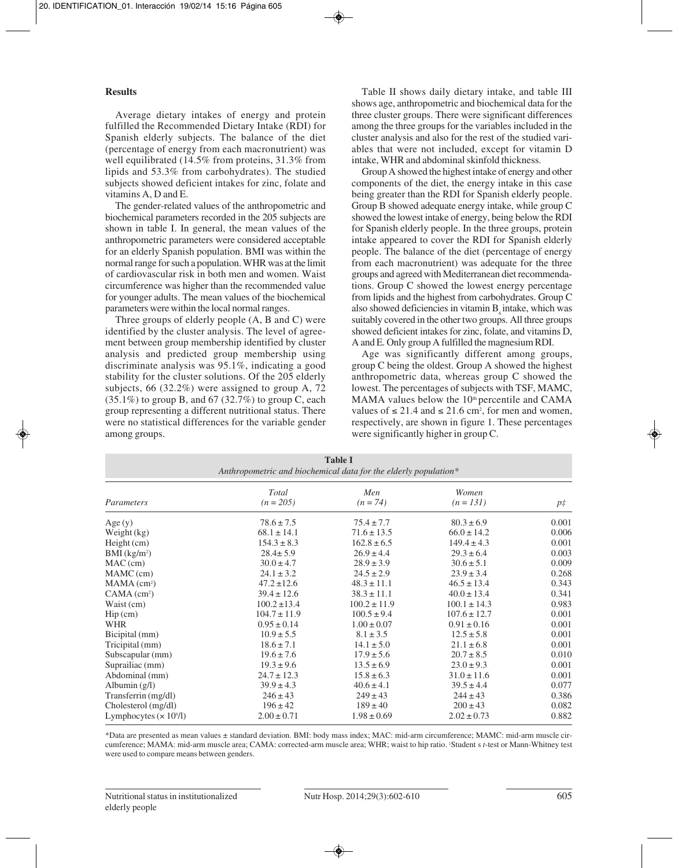#### **Results**

Average dietary intakes of energy and protein fulfilled the Recommended Dietary Intake (RDI) for Spanish elderly subjects. The balance of the diet (percentage of energy from each macronutrient) was well equilibrated (14.5% from proteins, 31.3% from lipids and 53.3% from carbohydrates). The studied subjects showed deficient intakes for zinc, folate and vitamins A, D and E.

The gender-related values of the anthropometric and biochemical parameters recorded in the 205 subjects are shown in table I. In general, the mean values of the anthropometric parameters were considered acceptable for an elderly Spanish population. BMI was within the normal range for such a population. WHR was at the limit of cardiovascular risk in both men and women. Waist circumference was higher than the recommended value for younger adults. The mean values of the biochemical parameters were within the local normal ranges.

Three groups of elderly people (A, B and C) were identified by the cluster analysis. The level of agreement between group membership identified by cluster analysis and predicted group membership using discriminate analysis was 95.1%, indicating a good stability for the cluster solutions. Of the 205 elderly subjects, 66 (32.2%) were assigned to group A, 72  $(35.1\%)$  to group B, and 67 (32.7%) to group C, each group representing a different nutritional status. There were no statistical differences for the variable gender among groups.

Table II shows daily dietary intake, and table III shows age, anthropometric and biochemical data for the three cluster groups. There were significant differences among the three groups for the variables included in the cluster analysis and also for the rest of the studied variables that were not included, except for vitamin D intake, WHR and abdominal skinfold thickness.

Group A showed the highest intake of energy and other components of the diet, the energy intake in this case being greater than the RDI for Spanish elderly people. Group B showed adequate energy intake, while group C showed the lowest intake of energy, being below the RDI for Spanish elderly people. In the three groups, protein intake appeared to cover the RDI for Spanish elderly people. The balance of the diet (percentage of energy from each macronutrient) was adequate for the three groups and agreed with Mediterranean diet recommendations. Group C showed the lowest energy percentage from lipids and the highest from carbohydrates. Group C also showed deficiencies in vitamin  $B<sub>c</sub>$  intake, which was suitably covered in the other two groups. All three groups showed deficient intakes for zinc, folate, and vitamins D, A and E. Only group A fulfilled the magnesium RDI.

Age was significantly different among groups, group C being the oldest. Group A showed the highest anthropometric data, whereas group C showed the lowest. The percentages of subjects with TSF, MAMC, MAMA values below the 10<sup>th</sup> percentile and CAMA values of  $\leq 21.4$  and  $\leq 21.6$  cm<sup>2</sup>, for men and women, respectively, are shown in figure 1. These percentages were significantly higher in group C.

| <b>Table I</b><br>Anthropometric and biochemical data for the elderly population* |                             |                   |                      |             |  |
|-----------------------------------------------------------------------------------|-----------------------------|-------------------|----------------------|-------------|--|
| Parameters                                                                        | <b>Total</b><br>$(n = 205)$ | Men<br>$(n = 74)$ | Women<br>$(n = 131)$ | $p\ddagger$ |  |
| Age(y)                                                                            | $78.6 \pm 7.5$              | $75.4 \pm 7.7$    | $80.3 \pm 6.9$       | 0.001       |  |
| Weight (kg)                                                                       | $68.1 \pm 14.1$             | $71.6 \pm 13.5$   | $66.0 \pm 14.2$      | 0.006       |  |
| $Height$ (cm)                                                                     | $154.3 \pm 8.3$             | $162.8 \pm 6.5$   | $149.4 \pm 4.3$      | 0.001       |  |
| $BMI$ (kg/m <sup>2</sup> )                                                        | $28.4 \pm 5.9$              | $26.9 \pm 4.4$    | $29.3 \pm 6.4$       | 0.003       |  |
| $MAC$ (cm)                                                                        | $30.0 \pm 4.7$              | $28.9 \pm 3.9$    | $30.6 \pm 5.1$       | 0.009       |  |
| MAMC (cm)                                                                         | $24.1 \pm 3.2$              | $24.5 \pm 2.9$    | $23.9 \pm 3.4$       | 0.268       |  |
| $MAMA$ (cm <sup>2</sup> )                                                         | $47.2 \pm 12.6$             | $48.3 \pm 11.1$   | $46.5 \pm 13.4$      | 0.343       |  |
| $CAMA$ (cm <sup>2</sup> )                                                         | $39.4 \pm 12.6$             | $38.3 \pm 11.1$   | $40.0 \pm 13.4$      | 0.341       |  |
| Waist (cm)                                                                        | $100.2 \pm 13.4$            | $100.2 \pm 11.9$  | $100.1 \pm 14.3$     | 0.983       |  |
| $\text{Hip}\left(\text{cm}\right)$                                                | $104.7 \pm 11.9$            | $100.5 \pm 9.4$   | $107.6 \pm 12.7$     | 0.001       |  |
| <b>WHR</b>                                                                        | $0.95 \pm 0.14$             | $1.00 \pm 0.07$   | $0.91 \pm 0.16$      | 0.001       |  |
| Bicipital (mm)                                                                    | $10.9 \pm 5.5$              | $8.1 \pm 3.5$     | $12.5 \pm 5.8$       | 0.001       |  |
| Tricipital (mm)                                                                   | $18.6 \pm 7.1$              | $14.1 \pm 5.0$    | $21.1 \pm 6.8$       | 0.001       |  |
| Subscapular (mm)                                                                  | $19.6 \pm 7.6$              | $17.9 \pm 5.6$    | $20.7 \pm 8.5$       | 0.010       |  |
| Suprailiac (mm)                                                                   | $19.3 \pm 9.6$              | $13.5 \pm 6.9$    | $23.0 \pm 9.3$       | 0.001       |  |
| Abdominal (mm)                                                                    | $24.7 \pm 12.3$             | $15.8 \pm 6.3$    | $31.0 \pm 11.6$      | 0.001       |  |
| Albumin $(g/l)$                                                                   | $39.9 \pm 4.3$              | $40.6 \pm 4.1$    | $39.5 \pm 4.4$       | 0.077       |  |
| Transferrin (mg/dl)                                                               | $246 \pm 43$                | $249 \pm 43$      | $244 \pm 43$         | 0.386       |  |
| Cholesterol (mg/dl)                                                               | $196 \pm 42$                | $189 \pm 40$      | $200 \pm 43$         | 0.082       |  |
| Lymphocytes $(x 109/I)$                                                           | $2.00 \pm 0.71$             | $1.98 \pm 0.69$   | $2.02 \pm 0.73$      | 0.882       |  |

\*Data are presented as mean values ± standard deviation. BMI: body mass index; MAC: mid-arm circumference; MAMC: mid-arm muscle circumference; MAMA: mid-arm muscle area; CAMA: corrected-arm muscle area; WHR; waist to hip ratio. ‡ Student s *t*-test or Mann-Whitney test were used to compare means between genders.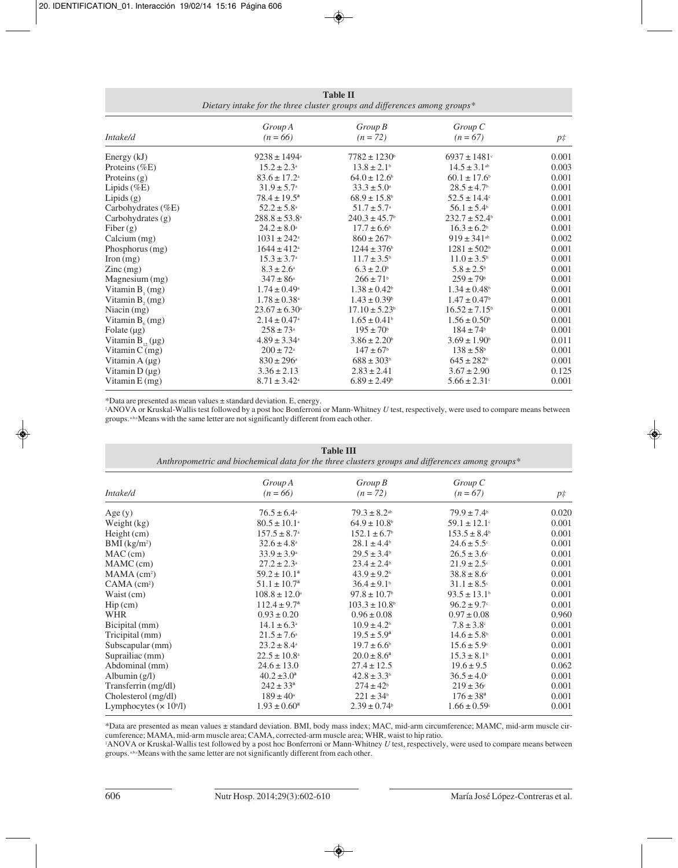|                                                                                       | <b>Table II</b> |  |  |
|---------------------------------------------------------------------------------------|-----------------|--|--|
| Dietary intake for the three cluster groups and differences among groups <sup>*</sup> |                 |  |  |

| Intake/d                               | Group A<br>$(n = 66)$        | $Group\,B$<br>$(n = 72)$      | $Group\ C$<br>$(n = 67)$      | $p\ddagger$ |
|----------------------------------------|------------------------------|-------------------------------|-------------------------------|-------------|
|                                        |                              |                               |                               |             |
| Energy $(kJ)$                          | $9238 \pm 1494$ <sup>a</sup> | $7782 \pm 1230$ <sup>b</sup>  | $6937 \pm 1481$ <sup>c</sup>  | 0.001       |
| Proteins $(\%E)$                       | $15.2 \pm 2.3^{\circ}$       | $13.8 \pm 2.1$ <sup>b</sup>   | $14.5 \pm 3.1$ <sup>ab</sup>  | 0.003       |
| Proteins $(g)$                         | $83.6 \pm 17.2$ <sup>a</sup> | $64.0 \pm 12.6$ <sup>b</sup>  | $60.1 \pm 17.6$ <sup>b</sup>  | 0.001       |
| Lipids (%E)                            | $31.9 \pm 5.7^{\circ}$       | $33.3 \pm 5.0^{\circ}$        | $28.5 \pm 4.7$ <sup>b</sup>   | 0.001       |
| Lipids $(g)$                           | $78.4 \pm 19.5^{\circ}$      | $68.9 \pm 15.8$ <sup>b</sup>  | $52.5 \pm 14.4^{\circ}$       | 0.001       |
| Carbohydrates $(\%E)$                  | $52.2 \pm 5.8^{\circ}$       | $51.7 \pm 5.7^{\circ}$        | $56.1 \pm 5.4^{\circ}$        | 0.001       |
| Carbohydrates (g)                      | $288.8 \pm 53.8^{\circ}$     | $240.3 \pm 45.7$ <sup>b</sup> | $232.7 \pm 52.4^{\circ}$      | 0.001       |
| Fiber $(g)$                            | $24.2 \pm 8.0^{\circ}$       | $17.7 \pm 6.6^{\circ}$        | $16.3 \pm 6.2^b$              | 0.001       |
| Calcium (mg)                           | $1031 \pm 242$ <sup>a</sup>  | $860 \pm 267$ <sup>b</sup>    | $919 \pm 341$ <sup>ab</sup>   | 0.002       |
| Phosphorus (mg)                        | $1644 \pm 412$ <sup>a</sup>  | $1244 \pm 376$ <sup>b</sup>   | $1281 \pm 502$ <sup>b</sup>   | 0.001       |
| $\Gamma$ Iron $(mg)$                   | $15.3 \pm 3.7^{\circ}$       | $11.7 \pm 3.5^{\circ}$        | $11.0 \pm 3.5^{\circ}$        | 0.001       |
| $\text{Zinc} \left( \text{mg} \right)$ | $8.3 \pm 2.6^{\circ}$        | $6.3 \pm 2.0^{\circ}$         | $5.8 \pm 2.5^{\circ}$         | 0.001       |
| Magnesium (mg)                         | $347 \pm 86^{\circ}$         | $266 \pm 71$ <sup>b</sup>     | $259 \pm 79$ <sup>b</sup>     | 0.001       |
| Vitamin $B_1(mg)$                      | $1.74 \pm 0.49^{\circ}$      | $1.38 \pm 0.42$ <sup>b</sup>  | $1.34 \pm 0.48$ <sup>b</sup>  | 0.001       |
| Vitamin $B_1$ (mg)                     | $1.78 \pm 0.38$ <sup>a</sup> | $1.43 \pm 0.39$ <sup>b</sup>  | $1.47 \pm 0.47$ <sup>b</sup>  | 0.001       |
| Niacin $(mg)$                          | $23.67 \pm 6.30^{\circ}$     | $17.10 \pm 5.23$ <sup>b</sup> | $16.52 \pm 7.15$ <sup>b</sup> | 0.001       |
| Vitamin $B_{\epsilon}(mg)$             | $2.14 \pm 0.47$ <sup>a</sup> | $1.65 \pm 0.41$ <sup>b</sup>  | $1.56 \pm 0.50^{\circ}$       | 0.001       |
| Folate $(\mu g)$                       | $258 \pm 73^{\circ}$         | $195 \pm 70^{\circ}$          | $184 \pm 74$ <sup>b</sup>     | 0.001       |
| Vitamin $B_{12}(\mu g)$                | $4.89 \pm 3.34^{\circ}$      | $3.86 \pm 2.20$ <sup>b</sup>  | $3.69 \pm 1.90^{\circ}$       | 0.011       |
| Vitamin $C$ (mg)                       | $200 \pm 72^{\circ}$         | $147 \pm 67$ <sup>b</sup>     | $138 \pm 58$ <sup>b</sup>     | 0.001       |
| Vitamin $A(\mu g)$                     | $830 \pm 296^{\circ}$        | $688 \pm 303$ <sup>b</sup>    | $645 \pm 282$ <sup>b</sup>    | 0.001       |
| Vitamin $D(\mu g)$                     | $3.36 \pm 2.13$              | $2.83 \pm 2.41$               | $3.67 \pm 2.90$               | 0.125       |
| Vitamin $E(mg)$                        | $8.71 \pm 3.42^{\circ}$      | $6.89 \pm 2.49$ <sup>b</sup>  | $5.66 \pm 2.31$ <sup>c</sup>  | 0.001       |

\*Data are presented as mean values ± standard deviation. E, energy.

‡ ANOVA or Kruskal-Wallis test followed by a post hoc Bonferroni or Mann-Whitney *U* test, respectively, were used to compare means between groups.<sup>a,b,c</sup>Means with the same letter are not significantly different from each other.

| <b>Table III</b><br>Anthropometric and biochemical data for the three clusters groups and differences among groups* |                              |                               |                              |             |
|---------------------------------------------------------------------------------------------------------------------|------------------------------|-------------------------------|------------------------------|-------------|
| Intake/d                                                                                                            | Group A<br>$(n = 66)$        | $Group\,B$<br>$(n = 72)$      | $Group\,C$<br>$(n = 67)$     | $p\ddagger$ |
| Age(y)                                                                                                              | $76.5 \pm 6.4^{\circ}$       | $79.3 \pm 8.2$ <sup>ab</sup>  | $79.9 \pm 7.4$ <sup>b</sup>  | 0.020       |
| Weight (kg)                                                                                                         | $80.5 \pm 10.1$ <sup>a</sup> | $64.9 \pm 10.8$ <sup>b</sup>  | $59.1 \pm 12.1$ <sup>c</sup> | 0.001       |
| Height (cm)                                                                                                         | $157.5 \pm 8.7^{\circ}$      | $152.1 \pm 6.7$ <sup>b</sup>  | $153.5 \pm 8.4$ <sup>b</sup> | 0.001       |
| $BMI$ (kg/m <sup>2</sup> )                                                                                          | $32.6 \pm 4.8^{\circ}$       | $28.1 \pm 4.4^b$              | $24.6 \pm 5.5$ °             | 0.001       |
| MAC(cm)                                                                                                             | $33.9 \pm 3.9^{\circ}$       | $29.5 \pm 3.4^{\circ}$        | $26.5 \pm 3.6^{\circ}$       | 0.001       |
| MAMC (cm)                                                                                                           | $27.2 \pm 2.3^{\circ}$       | $23.4 \pm 2.4^{\circ}$        | $21.9 \pm 2.5$ °             | 0.001       |
| $MAMA$ (cm <sup>2</sup> )                                                                                           | $59.2 \pm 10.1^{\circ}$      | $43.9 \pm 9.2$ <sup>b</sup>   | $38.8 \pm 8.6$ °             | 0.001       |
| $CAMA$ (cm <sup>2</sup> )                                                                                           | $51.1 \pm 10.7^{\circ}$      | $36.4 \pm 9.1$ <sup>b</sup>   | $31.1 \pm 8.5$ °             | 0.001       |
| Waist (cm)                                                                                                          | $108.8 \pm 12.0^{\circ}$     | $97.8 \pm 10.7$ <sup>b</sup>  | $93.5 \pm 13.1^{\circ}$      | 0.001       |
| $\text{Hip}\left(\text{cm}\right)$                                                                                  | $112.4 \pm 9.7^{\circ}$      | $103.3 \pm 10.8$ <sup>b</sup> | $96.2 \pm 9.7$ °             | 0.001       |
| WHR                                                                                                                 | $0.93 \pm 0.20$              | $0.96 \pm 0.08$               | $0.97 \pm 0.08$              | 0.960       |
| Bicipital (mm)                                                                                                      | $14.1 \pm 6.3^{\circ}$       | $10.9 \pm 4.2^{\circ}$        | $7.8 \pm 3.8$                | 0.001       |
| Tricipital (mm)                                                                                                     | $21.5 \pm 7.6^{\circ}$       | $19.5 \pm 5.9^{\circ}$        | $14.6 \pm 5.8$ <sup>b</sup>  | 0.001       |
| Subscapular (mm)                                                                                                    | $23.2 \pm 8.4^{\circ}$       | $19.7 \pm 6.6^{\circ}$        | $15.6 \pm 5.9$ °             | 0.001       |
| Suprailiac (mm)                                                                                                     | $22.5 \pm 10.8^{\circ}$      | $20.0 \pm 8.6^{\circ}$        | $15.3 \pm 8.1$ <sup>b</sup>  | 0.001       |
| Abdominal (mm)                                                                                                      | $24.6 \pm 13.0$              | $27.4 \pm 12.5$               | $19.6 \pm 9.5$               | 0.062       |
| Albumin $(g/l)$                                                                                                     | $40.2 \pm 3.0^{\circ}$       | $42.8 \pm 3.3^{\circ}$        | $36.5 \pm 4.0^{\circ}$       | 0.001       |
| Transferrin (mg/dl)                                                                                                 | $242 \pm 33^a$               | $274 \pm 42^b$                | $219 \pm 36$ °               | 0.001       |
| Cholesterol (mg/dl)                                                                                                 | $189 \pm 40^{\circ}$         | $221 \pm 34^{\circ}$          | $176 \pm 38^{\circ}$         | 0.001       |
| Lymphocytes $(x 109/I)$                                                                                             | $1.93 \pm 0.60^a$            | $2.39 \pm 0.74$ <sup>b</sup>  | $1.66 \pm 0.59$ <sup>c</sup> | 0.001       |

\*Data are presented as mean values ± standard deviation. BMI, body mass index; MAC, mid-arm circumference; MAMC, mid-arm muscle circumference; MAMA, mid-arm muscle area; CAMA, corrected-arm muscle area; WHR, waist to hip ratio.<br>\*ANOVA or Kruskal-Wallis test followed by a post hoc Bonferroni or Mann-Whitney *U* test, respectively, were used to compare

groups. a,b,cMeans with the same letter are not significantly different from each other.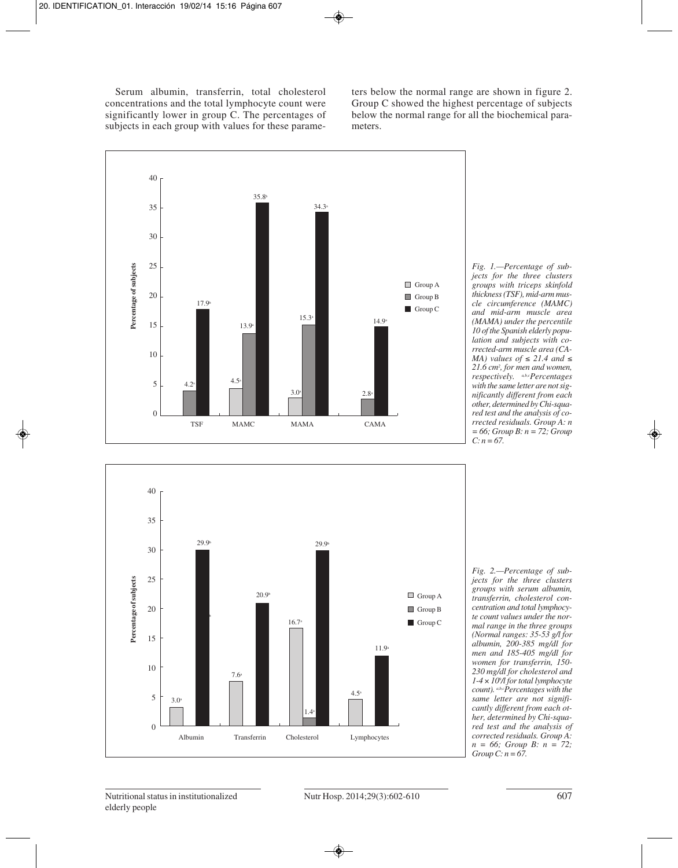Serum albumin, transferrin, total cholesterol concentrations and the total lymphocyte count were significantly lower in group C. The percentages of subjects in each group with values for these parameters below the normal range are shown in figure 2. Group C showed the highest percentage of subjects below the normal range for all the biochemical parameters.



*Fig. 1.—Percentage of subjects for the three clusters groups with triceps skinfold thickness (TSF), mid-arm muscle circumference (MAMC) and mid-arm muscle area (MAMA) under the percentile 10 of the Spanish elderly population and subjects with corrected-arm muscle area (CA-MA) values of* ≤ 21.4 *and* ≤ *21.6 cm2 , for men and women, respectively. a,b,cPercentages with the same letter are not significantly different from each other, determined by Chi-squared test and the analysis of corrected residuals. Group A: n = 66; Group B: n = 72; Group C: n = 67.*



*Fig. 2.—Percentage of subjects for the three clusters groups with serum albumin, transferrin, cholesterol concentration and total lymphocyte count values under the normal range in the three groups (Normal ranges: 35-53 g/l for albumin, 200-385 mg/dl for men and 185-405 mg/dl for women for transferrin, 150- 230 mg/dl for cholesterol and 1-4* × *109 /l for total lymphocyte count). a,b,cPercentages with the same letter are not significantly different from each other, determined by Chi-squared test and the analysis of corrected residuals. Group A: n = 66; Group B: n = 72; Group C: n = 67.*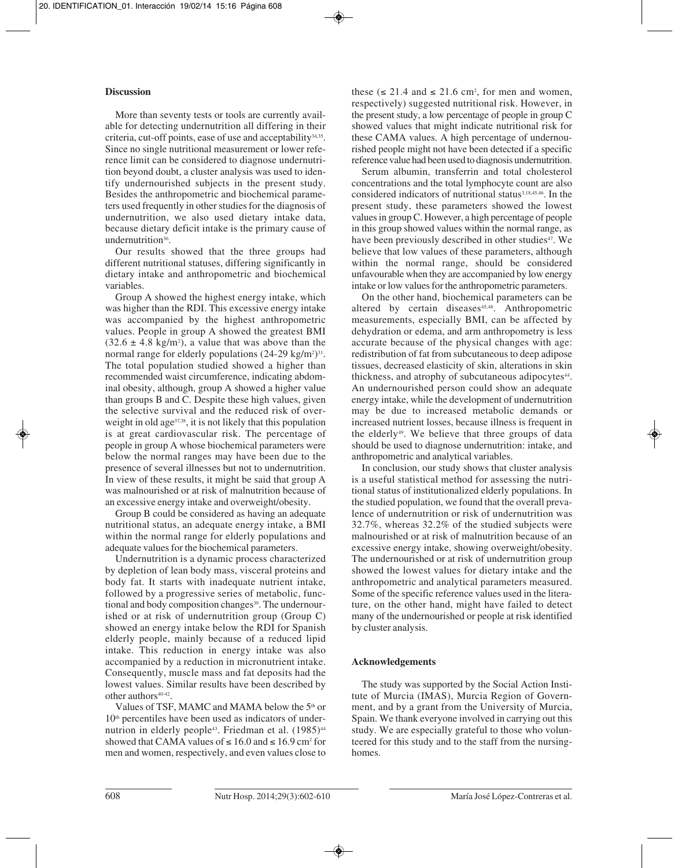## **Discussion**

More than seventy tests or tools are currently available for detecting undernutrition all differing in their criteria, cut-off points, ease of use and acceptability $34,35$ . Since no single nutritional measurement or lower reference limit can be considered to diagnose undernutrition beyond doubt, a cluster analysis was used to identify undernourished subjects in the present study. Besides the anthropometric and biochemical parameters used frequently in other studies for the diagnosis of undernutrition, we also used dietary intake data, because dietary deficit intake is the primary cause of undernutrition<sup>36</sup>.

Our results showed that the three groups had different nutritional statuses, differing significantly in dietary intake and anthropometric and biochemical variables.

Group A showed the highest energy intake, which was higher than the RDI. This excessive energy intake was accompanied by the highest anthropometric values. People in group A showed the greatest BMI  $(32.6 \pm 4.8 \text{ kg/m}^2)$ , a value that was above than the normal range for elderly populations  $(24-29 \text{ kg/m}^2)^{31}$ . The total population studied showed a higher than recommended waist circumference, indicating abdominal obesity, although, group A showed a higher value than groups B and C. Despite these high values, given the selective survival and the reduced risk of overweight in old age<sup>37,38</sup>, it is not likely that this population is at great cardiovascular risk. The percentage of people in group A whose biochemical parameters were below the normal ranges may have been due to the presence of several illnesses but not to undernutrition. In view of these results, it might be said that group A was malnourished or at risk of malnutrition because of an excessive energy intake and overweight/obesity.

Group B could be considered as having an adequate nutritional status, an adequate energy intake, a BMI within the normal range for elderly populations and adequate values for the biochemical parameters.

Undernutrition is a dynamic process characterized by depletion of lean body mass, visceral proteins and body fat. It starts with inadequate nutrient intake, followed by a progressive series of metabolic, functional and body composition changes<sup>39</sup>. The undernourished or at risk of undernutrition group (Group C) showed an energy intake below the RDI for Spanish elderly people, mainly because of a reduced lipid intake. This reduction in energy intake was also accompanied by a reduction in micronutrient intake. Consequently, muscle mass and fat deposits had the lowest values. Similar results have been described by other authors<sup>40-42</sup>.

Values of TSF, MAMC and MAMA below the 5<sup>th</sup> or  $10<sup>th</sup>$  percentiles have been used as indicators of undernutrion in elderly people<sup>43</sup>. Friedman et al. (1985)<sup>44</sup> showed that CAMA values of  $\leq 16.0$  and  $\leq 16.9$  cm<sup>2</sup> for men and women, respectively, and even values close to

these ( $\leq 21.4$  and  $\leq 21.6$  cm<sup>2</sup>, for men and women, respectively) suggested nutritional risk. However, in the present study, a low percentage of people in group C showed values that might indicate nutritional risk for these CAMA values. A high percentage of undernourished people might not have been detected if a specific reference value had been used to diagnosis undernutrition.

Serum albumin, transferrin and total cholesterol concentrations and the total lymphocyte count are also considered indicators of nutritional status<sup>3,18,45,46</sup>. In the present study, these parameters showed the lowest values in group C. However, a high percentage of people in this group showed values within the normal range, as have been previously described in other studies<sup>47</sup>. We believe that low values of these parameters, although within the normal range, should be considered unfavourable when they are accompanied by low energy intake or low values for the anthropometric parameters.

On the other hand, biochemical parameters can be altered by certain diseases<sup>45,48</sup>. Anthropometric measurements, especially BMI, can be affected by dehydration or edema, and arm anthropometry is less accurate because of the physical changes with age: redistribution of fat from subcutaneous to deep adipose tissues, decreased elasticity of skin, alterations in skin thickness, and atrophy of subcutaneous adipocytes<sup>44</sup>. An undernourished person could show an adequate energy intake, while the development of undernutrition may be due to increased metabolic demands or increased nutrient losses, because illness is frequent in the elderly<sup>49</sup>. We believe that three groups of data should be used to diagnose undernutrition: intake, and anthropometric and analytical variables.

In conclusion, our study shows that cluster analysis is a useful statistical method for assessing the nutritional status of institutionalized elderly populations. In the studied population, we found that the overall prevalence of undernutrition or risk of undernutrition was 32.7%, whereas 32.2% of the studied subjects were malnourished or at risk of malnutrition because of an excessive energy intake, showing overweight/obesity. The undernourished or at risk of undernutrition group showed the lowest values for dietary intake and the anthropometric and analytical parameters measured. Some of the specific reference values used in the literature, on the other hand, might have failed to detect many of the undernourished or people at risk identified by cluster analysis.

# **Acknowledgements**

The study was supported by the Social Action Institute of Murcia (IMAS), Murcia Region of Government, and by a grant from the University of Murcia, Spain. We thank everyone involved in carrying out this study. We are especially grateful to those who volunteered for this study and to the staff from the nursinghomes.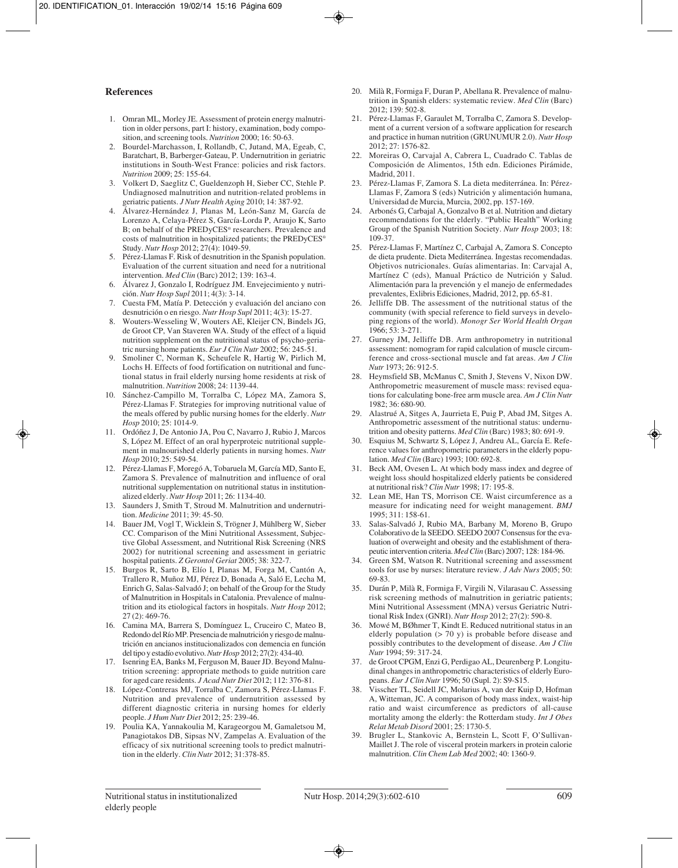#### **References**

- 1. Omran ML, Morley JE. Assessment of protein energy malnutrition in older persons, part I: history, examination, body composition, and screening tools. *Nutrition* 2000; 16: 50-63.
- 2. Bourdel-Marchasson, I, Rollandb, C, Jutand, MA, Egeab, C, Baratchart, B, Barberger-Gateau, P. Undernutrition in geriatric institutions in South-West France: policies and risk factors. *Nutrition* 2009; 25: 155-64.
- 3. Volkert D, Saeglitz C, Gueldenzoph H, Sieber CC, Stehle P. Undiagnosed malnutrition and nutrition-related problems in geriatric patients. *J Nutr Health Aging* 2010; 14: 387-92.
- 4. Álvarez-Hernández J, Planas M, León-Sanz M, García de Lorenzo A, Celaya-Pérez S, García-Lorda P, Araujo K, Sarto B; on behalf of the PREDyCES® researchers. Prevalence and costs of malnutrition in hospitalized patients; the PREDyCES® Study. *Nutr Hosp* 2012; 27(4): 1049-59.
- 5. Pérez-Llamas F. Risk of desnutrition in the Spanish population. Evaluation of the current situation and need for a nutritional intervention. *Med Clin* (Barc) 2012; 139: 163-4.
- 6. Álvarez J, Gonzalo I, Rodríguez JM. Envejecimiento y nutrición. *Nutr Hosp Supl* 2011; 4(3): 3-14.
- 7. Cuesta FM, Matía P. Detección y evaluación del anciano con desnutrición o en riesgo. *Nutr Hosp Supl* 2011; 4(3): 15-27.
- 8. Wouters-Wesseling W, Wouters AE, Kleijer CN, Bindels JG, de Groot CP, Van Staveren WA. Study of the effect of a liquid nutrition supplement on the nutritional status of psycho-geria tric nursing home patients. *Eur J Clin Nutr* 2002; 56: 245-51.
- 9. Smoliner C, Norman K, Scheufele R, Hartig W, Pirlich M, Lochs H. Effects of food fortification on nutritional and functional status in frail elderly nursing home residents at risk of malnutrition. *Nutrition* 2008; 24: 1139-44.
- 10. Sánchez-Campillo M, Torralba C, López MA, Zamora S, Pérez-Llamas F. Strategies for improving nutritional value of the meals offered by public nursing homes for the elderly. *Nutr Hosp* 2010; 25: 1014-9.
- 11. Ordóñez J, De Antonio JA, Pou C, Navarro J, Rubio J, Marcos S, López M. Effect of an oral hyperproteic nutritional supplement in malnourished elderly patients in nursing homes. *Nutr Hosp* 2010; 25: 549-54.
- 12. Pérez-Llamas F, Moregó A, Tobaruela M, García MD, Santo E, Zamora S. Prevalence of malnutrition and influence of oral nutritional supplementation on nutritional status in institutionalized elderly. *Nutr Hosp* 2011; 26: 1134-40.
- 13. Saunders J, Smith T, Stroud M. Malnutrition and undernutrition. *Medicine* 2011; 39: 45-50.
- 14. Bauer JM, Vogl T, Wicklein S, Trögner J, Mühlberg W, Sieber CC. Comparison of the Mini Nutritional Assessment, Subjective Global Assessment, and Nutritional Risk Screening (NRS 2002) for nutritional screening and assessment in geriatric hospital patients. *Z Gerontol Geriat* 2005; 38: 322-7.
- 15. Burgos R, Sarto B, Elío I, Planas M, Forga M, Cantón A, Trallero R, Muñoz MJ, Pérez D, Bonada A, Saló E, Lecha M, Enrich G, Salas-Salvadó J; on behalf of the Group for the Study of Malnutrition in Hospitals in Catalonia. Prevalence of malnutrition and its etiological factors in hospitals. *Nutr Hosp* 2012; 27 (2): 469-76.
- 16. Camina MA, Barrera S, Domínguez L, Cruceiro C, Mateo B, Redondo del Río MP. Presencia de malnutrición y riesgo de malnutrición en ancianos institucionalizados con demencia en función del tipo y estadío evolutivo. *Nutr Hosp* 2012; 27(2): 434-40.
- 17. Isenring EA, Banks M, Ferguson M, Bauer JD. Beyond Malnutrition screening: appropriate methods to guide nutrition care for aged care residents. *J Acad Nutr Diet* 2012; 112: 376-81.
- 18. López-Contreras MJ, Torralba C, Zamora S, Pérez-Llamas F. Nutrition and prevalence of undernutrition assessed by different diagnostic criteria in nursing homes for elderly people. *J Hum Nutr Diet* 2012; 25: 239-46.
- 19. Poulia KA, Yannakoulia M, Karageorgou M, Gamaletsou M, Panagiotakos DB, Sipsas NV, Zampelas A. Evaluation of the efficacy of six nutritional screening tools to predict malnutrition in the elderly. *Clin Nutr* 2012; 31:378-85.
- 20. Milà R, Formiga F, Duran P, Abellana R. Prevalence of malnutrition in Spanish elders: systematic review. *Med Clin* (Barc)  $2012 \cdot 139 \cdot 502 - 8$
- 21. Pérez-Llamas F, Garaulet M, Torralba C, Zamora S. Development of a current version of a software application for research and practice in human nutrition (GRUNUMUR 2.0). *Nutr Hosp* 2012; 27: 1576-82.
- 22. Moreiras O, Carvajal A, Cabrera L, Cuadrado C. Tablas de Composición de Alimentos, 15th edn. Ediciones Pirámide, Madrid, 2011.
- 23. Pérez-Llamas F, Zamora S. La dieta mediterránea. In: Pérez-Llamas F, Zamora S (eds) Nutrición y alimentación humana, Universidad de Murcia, Murcia, 2002, pp. 157-169.
- 24. Arbonés G, Carbajal A, Gonzalvo B et al. Nutrition and dietary recommendations for the elderly. "Public Health" Working Group of the Spanish Nutrition Society. *Nutr Hosp* 2003; 18: 109-37.
- 25. Pérez-Llamas F, Martínez C, Carbajal A, Zamora S. Concepto de dieta prudente. Dieta Mediterránea. Ingestas recomendadas. Objetivos nutricionales. Guías alimentarias. In: Carvajal A, Martínez C (eds), Manual Práctico de Nutrición y Salud. Alimentación para la prevención y el manejo de enfermedades prevalentes, Exlibris Ediciones, Madrid, 2012, pp. 65-81.
- 26. Jelliffe DB. The assessment of the nutritional status of the community (with special reference to field surveys in developing regions of the world). *Monogr Ser World Health Organ* 1966; 53: 3-271.
- 27. Gurney JM, Jelliffe DB. Arm anthropometry in nutritional assessment: nomogram for rapid calculation of muscle circumference and cross-sectional muscle and fat areas. *Am J Clin Nutr* 1973; 26: 912-5.
- 28. Heymsfield SB, McManus C, Smith J, Stevens V, Nixon DW. Anthropometric measurement of muscle mass: revised equations for calculating bone-free arm muscle area. *Am J Clin Nutr* 1982; 36: 680-90.
- 29. Alastrué A, Sitges A, Jaurrieta E, Puig P, Abad JM, Sitges A. Anthropometric assessment of the nutritional status: undernutrition and obesity patterns. *Med Clin* (Barc) 1983; 80: 691-9.
- 30. Esquius M, Schwartz S, López J, Andreu AL, García E. Refe rence values for anthropometric parameters in the elderly population. *Med Clin* (Barc) 1993; 100: 692-8.
- 31. Beck AM, Ovesen L. At which body mass index and degree of weight loss should hospitalized elderly patients be considered at nutritional risk? *Clin Nutr* 1998; 17: 195-8.
- 32. Lean ME, Han TS, Morrison CE. Waist circumference as a measure for indicating need for weight management. *BMJ* 1995; 311: 158-61.
- 33. Salas-Salvadó J, Rubio MA, Barbany M, Moreno B, Grupo Colaborativo de la SEEDO. SEEDO 2007 Consensus for the eva luation of overweight and obesity and the establishment of therapeutic intervention criteria. *Med Clin* (Barc) 2007; 128: 184-96.
- Green SM, Watson R. Nutritional screening and assessment tools for use by nurses: literature review. *J Adv Nurs* 2005; 50: 69-83.
- 35. Durán P, Milà R, Formiga F, Virgili N, Vilarasau C. Assessing risk screening methods of malnutrition in geriatric patients; Mini Nutritional Assessment (MNA) versus Geriatric Nutritional Risk Index (GNRI). *Nutr Hosp* 2012; 27(2): 590-8.
- 36. Mowé M, BØhmer T, Kindt E. Reduced nutritional status in an elderly population (> 70 y) is probable before disease and possibly contributes to the development of disease. *Am J Clin Nutr* 1994; 59: 317-24.
- 37. de Groot CPGM, Enzi G, Perdigao AL, Deurenberg P. Longitudinal changes in anthropometric characteristics of elderly Europeans. *Eur J Clin Nutr* 1996; 50 (Supl. 2): S9-S15.
- 38. Visscher TL, Seidell JC, Molarius A, van der Kuip D, Hofman A, Witteman, JC. A comparison of body mass index, waist-hip ratio and waist circumference as predictors of all-cause mortality among the elderly: the Rotterdam study. *Int J Obes Relat Metab Disord* 2001; 25: 1730-5.
- 39. Brugler L, Stankovic A, Bernstein L, Scott F, O'Sullivan-Maillet J. The role of visceral protein markers in protein calorie malnutrition. *Clin Chem Lab Med* 2002; 40: 1360-9.